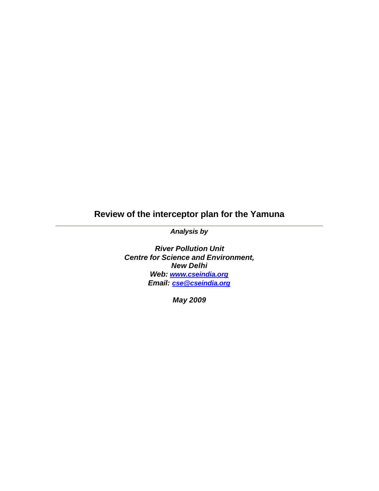# **Review of the interceptor plan for the Yamuna**

*Analysis by* 

*River Pollution Unit Centre for Science and Environment, New Delhi Web: www.cseindia.org Email: cse@cseindia.org*

*May 2009*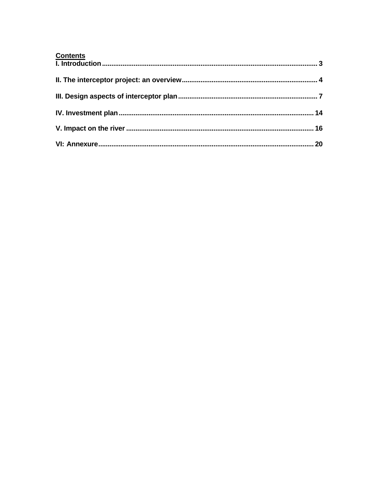| <b>Contents</b> |  |
|-----------------|--|
|                 |  |
|                 |  |
|                 |  |
|                 |  |
|                 |  |
|                 |  |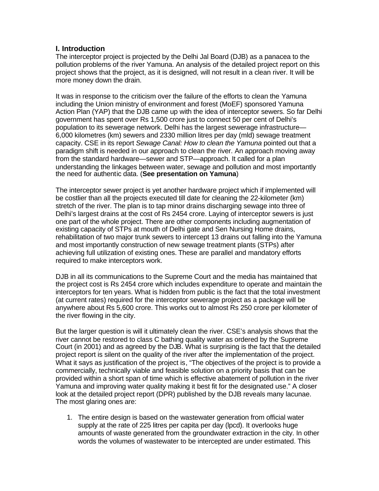## **I. Introduction**

The interceptor project is projected by the Delhi Jal Board (DJB) as a panacea to the pollution problems of the river Yamuna. An analysis of the detailed project report on this project shows that the project, as it is designed, will not result in a clean river. It will be more money down the drain.

It was in response to the criticism over the failure of the efforts to clean the Yamuna including the Union ministry of environment and forest (MoEF) sponsored Yamuna Action Plan (YAP) that the DJB came up with the idea of interceptor sewers. So far Delhi government has spent over Rs 1,500 crore just to connect 50 per cent of Delhi's population to its sewerage network. Delhi has the largest sewerage infrastructure— 6,000 kilometres (km) sewers and 2330 million litres per day (mld) sewage treatment capacity. CSE in its report *Sewage Canal: How to clean the Yamuna* pointed out that a paradigm shift is needed in our approach to clean the river. An approach moving away from the standard hardware—sewer and STP—approach. It called for a plan understanding the linkages between water, sewage and pollution and most importantly the need for authentic data. (**See presentation on Yamuna**)

The interceptor sewer project is yet another hardware project which if implemented will be costlier than all the projects executed till date for cleaning the 22-kilometer (km) stretch of the river. The plan is to tap minor drains discharging sewage into three of Delhi's largest drains at the cost of Rs 2454 crore. Laying of interceptor sewers is just one part of the whole project. There are other components including augmentation of existing capacity of STPs at mouth of Delhi gate and Sen Nursing Home drains, rehabilitation of two major trunk sewers to intercept 13 drains out falling into the Yamuna and most importantly construction of new sewage treatment plants (STPs) after achieving full utilization of existing ones. These are parallel and mandatory efforts required to make interceptors work.

DJB in all its communications to the Supreme Court and the media has maintained that the project cost is Rs 2454 crore which includes expenditure to operate and maintain the interceptors for ten years. What is hidden from public is the fact that the total investment (at current rates) required for the interceptor sewerage project as a package will be anywhere about Rs 5,600 crore. This works out to almost Rs 250 crore per kilometer of the river flowing in the city.

But the larger question is will it ultimately clean the river. CSE's analysis shows that the river cannot be restored to class C bathing quality water as ordered by the Supreme Court (in 2001) and as agreed by the DJB. What is surprising is the fact that the detailed project report is silent on the quality of the river after the implementation of the project. What it says as justification of the project is, "The objectives of the project is to provide a commercially, technically viable and feasible solution on a priority basis that can be provided within a short span of time which is effective abatement of pollution in the river Yamuna and improving water quality making it best fit for the designated use." A closer look at the detailed project report (DPR) published by the DJB reveals many lacunae. The most glaring ones are:

1. The entire design is based on the wastewater generation from official water supply at the rate of 225 litres per capita per day (lpcd). It overlooks huge amounts of waste generated from the groundwater extraction in the city. In other words the volumes of wastewater to be intercepted are under estimated. This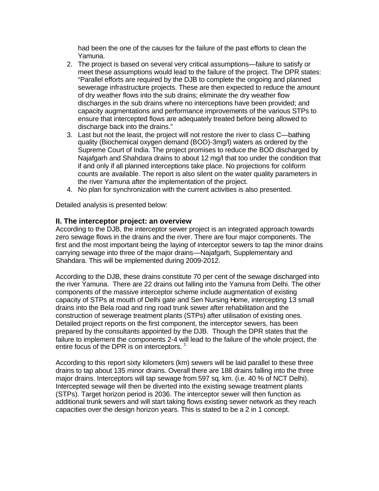had been the one of the causes for the failure of the past efforts to clean the Yamuna.

- 2. The project is based on several very critical assumptions—failure to satisfy or meet these assumptions would lead to the failure of the project. The DPR states: "Parallel efforts are required by the DJB to complete the ongoing and planned sewerage infrastructure projects. These are then expected to reduce the amount of dry weather flows into the sub drains; eliminate the dry weather flow discharges in the sub drains where no interceptions have been provided; and capacity augmentations and performance improvements of the various STPs to ensure that intercepted flows are adequately treated before being allowed to discharge back into the drains."
- 3. Last but not the least, the project will not restore the river to class C—bathing quality (Biochemical oxygen demand (BOD)-3mg/l) waters as ordered by the Supreme Court of India. The project promises to reduce the BOD discharged by Najafgarh and Shahdara drains to about 12 mg/l that too under the condition that if and only if all planned interceptions take place. No projections for coliform counts are available. The report is also silent on the water quality parameters in the river Yamuna after the implementation of the project.
- 4. No plan for synchronization with the current activities is also presented.

Detailed analysis is presented below:

## **II. The interceptor project: an overview**

According to the DJB, the interceptor sewer project is an integrated approach towards zero sewage flows in the drains and the river. There are four major components. The first and the most important being the laying of interceptor sewers to tap the minor drains carrying sewage into three of the major drains—Najafgarh, Supplementary and Shahdara. This will be implemented during 2009-2012.

According to the DJB, these drains constitute 70 per cent of the sewage discharged into the river Yamuna. There are 22 drains out falling into the Yamuna from Delhi. The other components of the massive interceptor scheme include augmentation of existing capacity of STPs at mouth of Delhi gate and Sen Nursing Home, intercepting 13 small drains into the Bela road and ring road trunk sewer after rehabilitation and the construction of sewerage treatment plants (STPs) after utilisation of existing ones. Detailed project reports on the first component, the interceptor sewers, has been prepared by the consultants appointed by the DJB. Though the DPR states that the failure to implement the components 2-4 will lead to the failure of the whole project, the entire focus of the DPR is on interceptors.<sup>1</sup>

According to this report sixty kilometers (km) sewers will be laid parallel to these three drains to tap about 135 minor drains. Overall there are 188 drains falling into the three major drains. Interceptors will tap sewage from 597 sq. km. (i.e. 40 % of NCT Delhi). Intercepted sewage will then be diverted into the existing sewage treatment plants (STPs). Target horizon period is 2036. The interceptor sewer will then function as additional trunk sewers and will start taking flows existing sewer network as they reach capacities over the design horizon years. This is stated to be a 2 in 1 concept.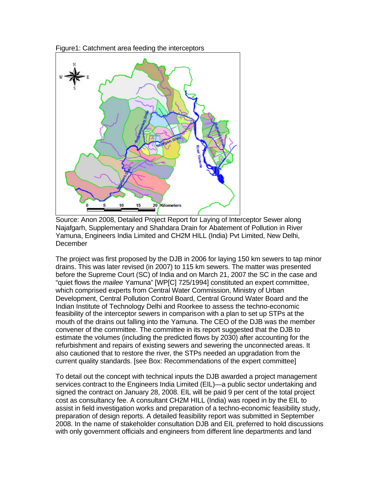





The project was first proposed by the DJB in 2006 for laying 150 km sewers to tap minor drains. This was later revised (in 2007) to 115 km sewers. The matter was presented before the Supreme Court (SC) of India and on March 21, 2007 the SC in the case and "quiet flows the *mailee* Yamuna" [WP[C] 725/1994] constituted an expert committee, which comprised experts from Central Water Commission, Ministry of Urban Development, Central Pollution Control Board, Central Ground Water Board and the Indian Institute of Technology Delhi and Roorkee to assess the techno-economic feasibility of the interceptor sewers in comparison with a plan to set up STPs at the mouth of the drains out falling into the Yamuna. The CEO of the DJB was the member convener of the committee. The committee in its report suggested that the DJB to estimate the volumes (including the predicted flows by 2030) after accounting for the refurbishment and repairs of existing sewers and sewering the unconnected areas. It also cautioned that to restore the river, the STPs needed an upgradation from the current quality standards. [see Box: Recommendations of the expert committee]

To detail out the concept with technical inputs the DJB awarded a project management services contract to the Engineers India Limited (EIL)—a public sector undertaking and signed the contract on January 28, 2008. EIL will be paid 9 per cent of the total project cost as consultancy fee. A consultant CH2M HILL (India) was roped in by the EIL to assist in field investigation works and preparation of a techno-economic feasibility study, preparation of design reports. A detailed feasibility report was submitted in September 2008. In the name of stakeholder consultation DJB and EIL preferred to hold discussions with only government officials and engineers from different line departments and land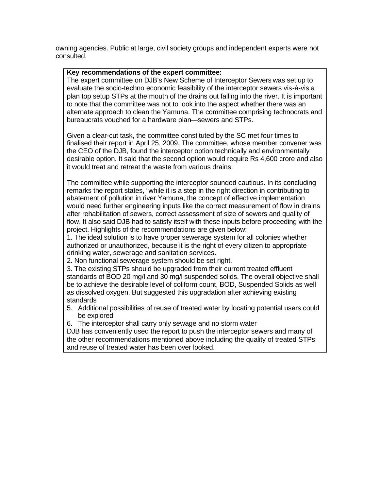owning agencies. Public at large, civil society groups and independent experts were not consulted.

#### **Key recommendations of the expert committee:**

The expert committee on DJB's New Scheme of Interceptor Sewers was set up to evaluate the socio-techno economic feasibility of the interceptor sewers vis-à-vis a plan top setup STPs at the mouth of the drains out falling into the river. It is important to note that the committee was not to look into the aspect whether there was an alternate approach to clean the Yamuna. The committee comprising technocrats and bureaucrats vouched for a hardware plan—sewers and STPs.

Given a clear-cut task, the committee constituted by the SC met four times to finalised their report in April 25, 2009. The committee, whose member convener was the CEO of the DJB, found the interceptor option technically and environmentally desirable option. It said that the second option would require Rs 4,600 crore and also it would treat and retreat the waste from various drains.

The committee while supporting the interceptor sounded cautious. In its concluding remarks the report states, "while it is a step in the right direction in contributing to abatement of pollution in river Yamuna, the concept of effective implementation would need further engineering inputs like the correct measurement of flow in drains after rehabilitation of sewers, correct assessment of size of sewers and quality of flow. It also said DJB had to satisfy itself with these inputs before proceeding with the project. Highlights of the recommendations are given below:

1. The ideal solution is to have proper sewerage system for all colonies whether authorized or unauthorized, because it is the right of every citizen to appropriate drinking water, sewerage and sanitation services.

2. Non functional sewerage system should be set right.

3. The existing STPs should be upgraded from their current treated effluent standards of BOD 20 mg/l and 30 mg/l suspended solids. The overall objective shall be to achieve the desirable level of coliform count, BOD, Suspended Solids as well as dissolved oxygen. But suggested this upgradation after achieving existing standards

- 5. Additional possibilities of reuse of treated water by locating potential users could be explored
- 6. The interceptor shall carry only sewage and no storm water

DJB has conveniently used the report to push the interceptor sewers and many of the other recommendations mentioned above including the quality of treated STPs and reuse of treated water has been over looked.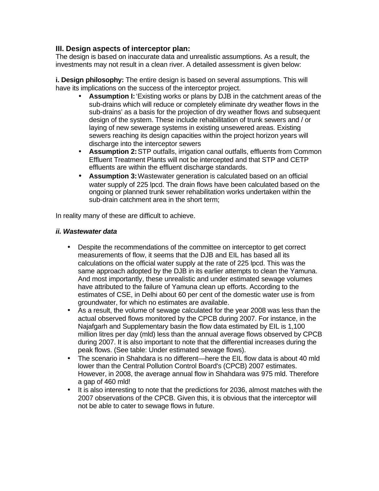## **III. Design aspects of interceptor plan:**

The design is based on inaccurate data and unrealistic assumptions. As a result, the investments may not result in a clean river. A detailed assessment is given below:

**i. Design philosophy:** The entire design is based on several assumptions. This will have its implications on the success of the interceptor project.

- **Assumption I:** 'Existing works or plans by DJB in the catchment areas of the sub-drains which will reduce or completely eliminate dry weather flows in the sub-drains' as a basis for the projection of dry weather flows and subsequent design of the system. These include rehabilitation of trunk sewers and / or laying of new sewerage systems in existing unsewered areas. Existing sewers reaching its design capacities within the project horizon years will discharge into the interceptor sewers
- **Assumption 2:** STP outfalls, irrigation canal outfalls, effluents from Common Effluent Treatment Plants will not be intercepted and that STP and CETP effluents are within the effluent discharge standards.
- **Assumption 3:** Wastewater generation is calculated based on an official water supply of 225 lpcd. The drain flows have been calculated based on the ongoing or planned trunk sewer rehabilitation works undertaken within the sub-drain catchment area in the short term;

In reality many of these are difficult to achieve.

## *ii. Wastewater data*

- Despite the recommendations of the committee on interceptor to get correct measurements of flow, it seems that the DJB and EIL has based all its calculations on the official water supply at the rate of 225 lpcd. This was the same approach adopted by the DJB in its earlier attempts to clean the Yamuna. And most importantly, these unrealistic and under estimated sewage volumes have attributed to the failure of Yamuna clean up efforts. According to the estimates of CSE, in Delhi about 60 per cent of the domestic water use is from groundwater, for which no estimates are available.
- As a result, the volume of sewage calculated for the year 2008 was less than the actual observed flows monitored by the CPCB during 2007. For instance, in the Najafgarh and Supplementary basin the flow data estimated by EIL is 1,100 million litres per day (mld) less than the annual average flows observed by CPCB during 2007. It is also important to note that the differential increases during the peak flows. (See table: Under estimated sewage flows).
- The scenario in Shahdara is no different—here the EIL flow data is about 40 mld lower than the Central Pollution Control Board's (CPCB) 2007 estimates. However, in 2008, the average annual flow in Shahdara was 975 mld. Therefore a gap of 460 mld!
- It is also interesting to note that the predictions for 2036, almost matches with the 2007 observations of the CPCB. Given this, it is obvious that the interceptor will not be able to cater to sewage flows in future.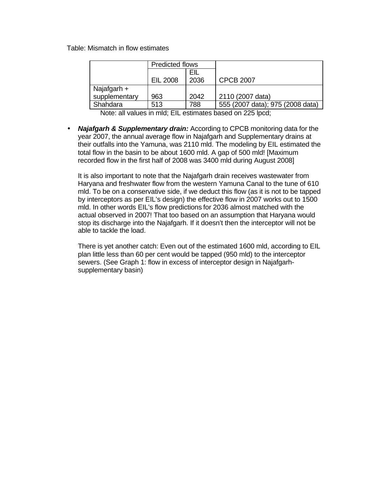Table: Mismatch in flow estimates

|               | Predicted flows |      |                                  |
|---------------|-----------------|------|----------------------------------|
|               |                 | EIL  |                                  |
|               | EIL 2008        | 2036 | <b>CPCB 2007</b>                 |
| Najafgarh +   |                 |      |                                  |
| supplementary | 963             | 2042 | 2110 (2007 data)                 |
| Shahdara      | 513             | 788  | 555 (2007 data); 975 (2008 data) |

Note: all values in mld; EIL estimates based on 225 lpcd;

• *Najafgarh & Supplementary drain:* According to CPCB monitoring data for the year 2007, the annual average flow in Najafgarh and Supplementary drains at their outfalls into the Yamuna, was 2110 mld. The modeling by EIL estimated the total flow in the basin to be about 1600 mld. A gap of 500 mld! [Maximum recorded flow in the first half of 2008 was 3400 mld during August 2008]

It is also important to note that the Najafgarh drain receives wastewater from Haryana and freshwater flow from the western Yamuna Canal to the tune of 610 mld. To be on a conservative side, if we deduct this flow (as it is not to be tapped by interceptors as per EIL's design) the effective flow in 2007 works out to 1500 mld. In other words EIL's flow predictions for 2036 almost matched with the actual observed in 2007! That too based on an assumption that Haryana would stop its discharge into the Najafgarh. If it doesn't then the interceptor will not be able to tackle the load.

There is yet another catch: Even out of the estimated 1600 mld, according to EIL plan little less than 60 per cent would be tapped (950 mld) to the interceptor sewers. (See Graph 1: flow in excess of interceptor design in Najafgarhsupplementary basin)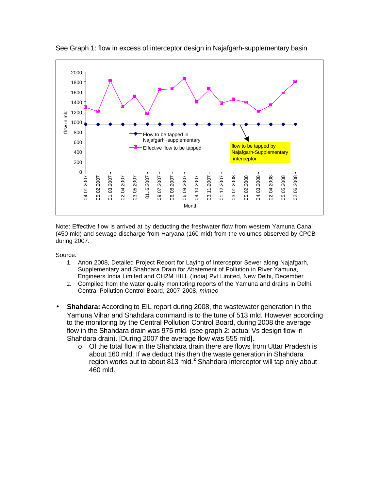

See Graph 1: flow in excess of interceptor design in Najafgarh-supplementary basin

Note: Effective flow is arrived at by deducting the freshwater flow from western Yamuna Canal (450 mld) and sewage discharge from Haryana (160 mld) from the volumes observed by CPCB during 2007.

Source:

- 1. Anon 2008, Detailed Project Report for Laying of Interceptor Sewer along Najafgarh, Supplementary and Shahdara Drain for Abatement of Pollution in River Yamuna, Engineers India Limited and CH2M HILL (India) Pvt Limited, New Delhi, December
- 2. Compiled from the water quality monitoring reports of the Yamuna and drains in Delhi, Central Pollution Control Board, 2007-2008, *mimeo*
- **Shahdara:** According to EIL report during 2008, the wastewater generation in the Yamuna Vihar and Shahdara command is to the tune of 513 mld. However according to the monitoring by the Central Pollution Control Board, during 2008 the average flow in the Shahdara drain was 975 mld. (see graph 2: actual Vs design flow in Shahdara drain). [During 2007 the average flow was 555 mld].
	- $\circ$  Of the total flow in the Shahdara drain there are flows from Uttar Pradesh is about 160 mld. If we deduct this then the waste generation in Shahdara region works out to about 813 mld.**<sup>2</sup>** Shahdara interceptor will tap only about 460 mld.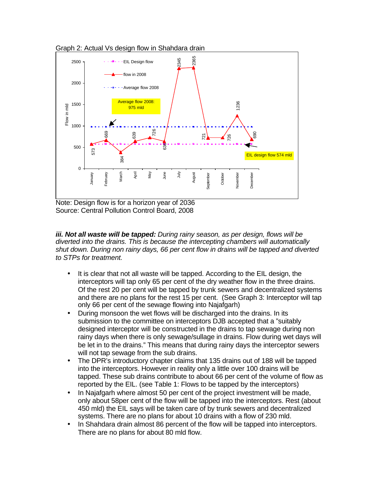

Graph 2: Actual Vs design flow in Shahdara drain

Note: Design flow is for a horizon year of 2036 Source: Central Pollution Control Board, 2008

*iii. Not all waste will be tapped: During rainy season, as per design, flows will be diverted into the drains. This is because the intercepting chambers will automatically shut down. During non rainy days, 66 per cent flow in drains will be tapped and diverted to STPs for treatment.*

- It is clear that not all waste will be tapped. According to the EIL design, the interceptors will tap only 65 per cent of the dry weather flow in the three drains. Of the rest 20 per cent will be tapped by trunk sewers and decentralized systems and there are no plans for the rest 15 per cent. (See Graph 3: Interceptor will tap only 66 per cent of the sewage flowing into Najafgarh)
- During monsoon the wet flows will be discharged into the drains. In its submission to the committee on interceptors DJB accepted that a "suitably designed interceptor will be constructed in the drains to tap sewage during non rainy days when there is only sewage/sullage in drains. Flow during wet days will be let in to the drains." This means that during rainy days the interceptor sewers will not tap sewage from the sub drains.
- The DPR's introductory chapter claims that 135 drains out of 188 will be tapped into the interceptors. However in reality only a little over 100 drains will be tapped. These sub drains contribute to about 66 per cent of the volume of flow as reported by the EIL. (see Table 1: Flows to be tapped by the interceptors)
- In Najafgarh where almost 50 per cent of the project investment will be made. only about 58per cent of the flow will be tapped into the interceptors. Rest (about 450 mld) the EIL says will be taken care of by trunk sewers and decentralized systems. There are no plans for about 10 drains with a flow of 230 mld.
- In Shahdara drain almost 86 percent of the flow will be tapped into interceptors. There are no plans for about 80 mld flow.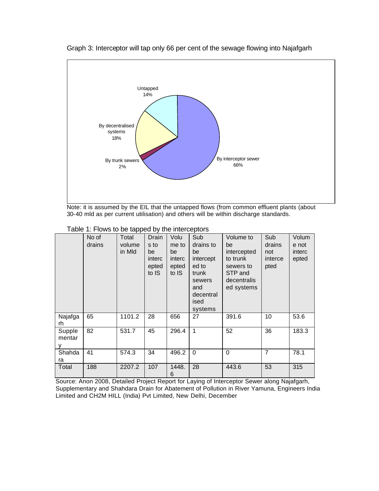

Graph 3: Interceptor will tap only 66 per cent of the sewage flowing into Najafgarh

Note: it is assumed by the EIL that the untapped flows (from common effluent plants (about 30-40 mld as per current utilisation) and others will be within discharge standards.

|  |  | Table 1: Flows to be tapped by the interceptors |
|--|--|-------------------------------------------------|
|--|--|-------------------------------------------------|

|                       | No of<br>drains | Total<br>volume<br>in Mld | Drain<br>s to<br>be<br>interc<br>epted<br>to IS | Volu<br>me to<br>be<br>interc<br>epted<br>to IS | Sub<br>drains to<br>be<br>intercept<br>ed to<br>trunk<br>sewers<br>and<br>decentral<br>ised<br>systems | Volume to<br>be<br>intercepted<br>to trunk<br>sewers to<br>STP and<br>decentralis<br>ed systems | Sub<br>drains<br>not<br>interce<br>pted | Volum<br>e not<br>interc<br>epted |
|-----------------------|-----------------|---------------------------|-------------------------------------------------|-------------------------------------------------|--------------------------------------------------------------------------------------------------------|-------------------------------------------------------------------------------------------------|-----------------------------------------|-----------------------------------|
| Najafga<br>rh         | 65              | 1101.2                    | 28                                              | 656                                             | 27                                                                                                     | 391.6                                                                                           | 10                                      | 53.6                              |
| Supple<br>mentar<br>۷ | 82              | 531.7                     | 45                                              | 296.4                                           | 1                                                                                                      | 52                                                                                              | 36                                      | 183.3                             |
| Shahda<br>ra          | 41              | 574.3                     | 34                                              | 496.2                                           | $\Omega$                                                                                               | $\Omega$                                                                                        | $\overline{7}$                          | 78.1                              |
| Total                 | 188             | 2207.2                    | 107                                             | 1448.<br>6                                      | 28                                                                                                     | 443.6                                                                                           | 53                                      | 315                               |

Source: Anon 2008, Detailed Project Report for Laying of Interceptor Sewer along Najafgarh, Supplementary and Shahdara Drain for Abatement of Pollution in River Yamuna, Engineers India Limited and CH2M HILL (India) Pvt Limited, New Delhi, December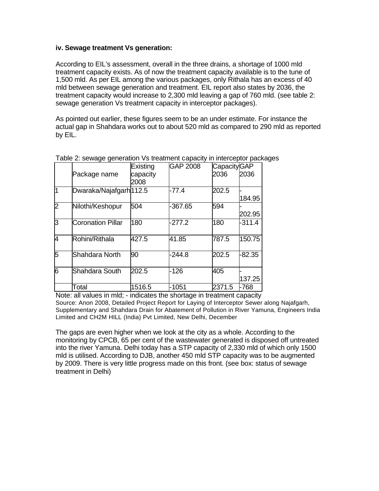## **iv. Sewage treatment Vs generation:**

According to EIL's assessment, overall in the three drains, a shortage of 1000 mld treatment capacity exists. As of now the treatment capacity available is to the tune of 1,500 mld. As per EIL among the various packages, only Rithala has an excess of 40 mld between sewage generation and treatment. EIL report also states by 2036, the treatment capacity would increase to 2,300 mld leaving a gap of 760 mld. (see table 2: sewage generation Vs treatment capacity in interceptor packages).

As pointed out earlier, these figures seem to be an under estimate. For instance the actual gap in Shahdara works out to about 520 mld as compared to 290 mld as reported by EIL.

|                         |                          | Existing | <b>GAP 2008</b> | <b>CapacityGAP</b> |          |
|-------------------------|--------------------------|----------|-----------------|--------------------|----------|
|                         | Package name             | capacity |                 | 2036               | 2036     |
|                         |                          | 2008     |                 |                    |          |
| $\overline{\mathbf{1}}$ | Dwaraka/Najafgarh 112.5  |          | $-77.4$         | 202.5              |          |
|                         |                          |          |                 |                    | 184.95   |
| $\overline{2}$          | Nilothi/Keshopur         | 504      | $-367.65$       | 594                |          |
|                         |                          |          |                 |                    | 202.95   |
| 3                       | <b>Coronation Pillar</b> | 180      | $-277.2$        | 180                | $-311.4$ |
|                         |                          |          |                 |                    |          |
| 4                       | Rohini/Rithala           | 427.5    | 41.85           | 787.5              | 150.75   |
| 5                       | Shahdara North           | 90       | $-244.8$        | 202.5              | $-82.35$ |
|                         |                          |          |                 |                    |          |
| 6                       | Shahdara South           | 202.5    | $-126$          | 405                |          |
|                         |                          |          |                 |                    | 137.25   |
|                         | Total                    | 1516.5   | $-1051$         | 2371.5             | $-768$   |

Table 2: sewage generation Vs treatment capacity in interceptor packages

Note: all values in mld; - indicates the shortage in treatment capacity Source: Anon 2008, Detailed Project Report for Laying of Interceptor Sewer along Najafgarh, Supplementary and Shahdara Drain for Abatement of Pollution in River Yamuna, Engineers India Limited and CH2M HILL (India) Pvt Limited, New Delhi, December

The gaps are even higher when we look at the city as a whole. According to the monitoring by CPCB, 65 per cent of the wastewater generated is disposed off untreated into the river Yamuna. Delhi today has a STP capacity of 2,330 mld of which only 1500 mld is utilised. According to DJB, another 450 mld STP capacity was to be augmented by 2009. There is very little progress made on this front. (see box: status of sewage treatment in Delhi)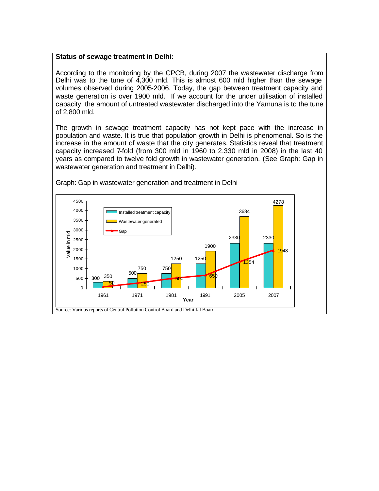#### **Status of sewage treatment in Delhi:**

According to the monitoring by the CPCB, during 2007 the wastewater discharge from Delhi was to the tune of 4,300 mld. This is almost 600 mld higher than the sewage volumes observed during 2005-2006. Today, the gap between treatment capacity and waste generation is over 1900 mld. If we account for the under utilisation of installed capacity, the amount of untreated wastewater discharged into the Yamuna is to the tune of 2,800 mld.

The growth in sewage treatment capacity has not kept pace with the increase in population and waste. It is true that population growth in Delhi is phenomenal. So is the increase in the amount of waste that the city generates. Statistics reveal that treatment capacity increased 7-fold (from 300 mld in 1960 to 2,330 mld in 2008) in the last 40 years as compared to twelve fold growth in wastewater generation. (See Graph: Gap in wastewater generation and treatment in Delhi).



Graph: Gap in wastewater generation and treatment in Delhi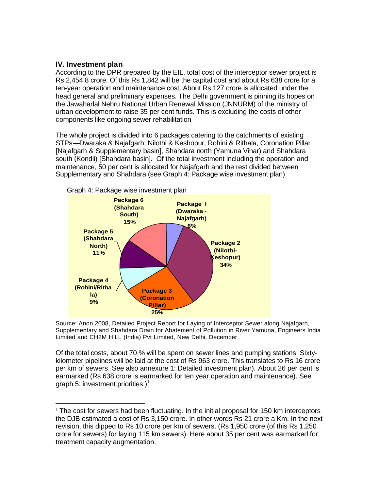## **IV. Investment plan**

 $\overline{a}$ 

According to the DPR prepared by the EIL, total cost of the interceptor sewer project is Rs 2,454.8 crore. Of this Rs 1,842 will be the capital cost and about Rs 638 crore for a ten-year operation and maintenance cost. About Rs 127 crore is allocated under the head general and preliminary expenses. The Delhi government is pinning its hopes on the Jawaharlal Nehru National Urban Renewal Mission (JNNURM) of the ministry of urban development to raise 35 per cent funds. This is excluding the costs of other components like ongoing sewer rehabilitation

The whole project is divided into 6 packages catering to the catchments of existing STPs—Dwaraka & Najafgarh, Nilothi & Keshopur, Rohini & Rithala, Coronation Pillar [Najafgarh & Supplementary basin], Shahdara north (Yamuna Vihar) and Shahdara south (Kondli) [Shahdara basin]. Of the total investment including the operation and maintenance, 50 per cent is allocated for Najafgarh and the rest divided between Supplementary and Shahdara (see Graph 4: Package wise investment plan)



Source: Anon 2008, Detailed Project Report for Laying of Interceptor Sewer along Najafgarh, Supplementary and Shahdara Drain for Abatement of Pollution in River Yamuna, Engineers India Limited and CH2M HILL (India) Pvt Limited, New Delhi, December

Of the total costs, about 70 % will be spent on sewer lines and pumping stations. Sixtykilometer pipelines will be laid at the cost of Rs 963 crore. This translates to Rs 16 crore per km of sewers. See also annexure 1: Detailed investment plan). About 26 per cent is earmarked (Rs 638 crore is earmarked for ten year operation and maintenance). See graph 5: investment priorities;)<sup>1</sup>

 $1$  The cost for sewers had been fluctuating. In the initial proposal for 150 km interceptors the DJB estimated a cost of Rs 3,150 crore. In other words Rs 21 crore a Km. In the next revision, this dipped to Rs 10 crore per km of sewers. (Rs 1,950 crore (of this Rs 1,250 crore for sewers) for laying 115 km sewers). Here about 35 per cent was earmarked for treatment capacity augmentation.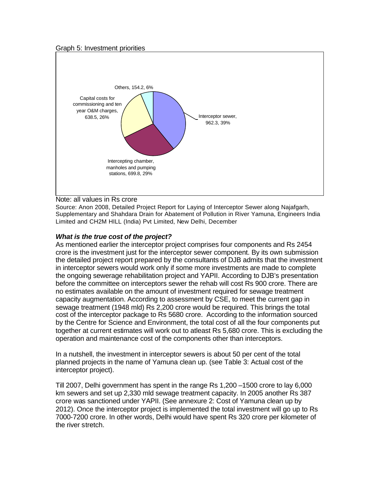#### Graph 5: Investment priorities



#### Note: all values in Rs crore

Source: Anon 2008, Detailed Project Report for Laying of Interceptor Sewer along Najafgarh, Supplementary and Shahdara Drain for Abatement of Pollution in River Yamuna, Engineers India Limited and CH2M HILL (India) Pvt Limited, New Delhi, December

#### *What is the true cost of the project?*

As mentioned earlier the interceptor project comprises four components and Rs 2454 crore is the investment just for the interceptor sewer component. By its own submission the detailed project report prepared by the consultants of DJB admits that the investment in interceptor sewers would work only if some more investments are made to complete the ongoing sewerage rehabilitation project and YAPII. According to DJB's presentation before the committee on interceptors sewer the rehab will cost Rs 900 crore. There are no estimates available on the amount of investment required for sewage treatment capacity augmentation. According to assessment by CSE, to meet the current gap in sewage treatment (1948 mld) Rs 2,200 crore would be required. This brings the total cost of the interceptor package to Rs 5680 crore. According to the information sourced by the Centre for Science and Environment, the total cost of all the four components put together at current estimates will work out to atleast Rs 5,680 crore. This is excluding the operation and maintenance cost of the components other than interceptors.

In a nutshell, the investment in interceptor sewers is about 50 per cent of the total planned projects in the name of Yamuna clean up. (see Table 3: Actual cost of the interceptor project).

Till 2007, Delhi government has spent in the range Rs 1,200 –1500 crore to lay 6,000 km sewers and set up 2,330 mld sewage treatment capacity. In 2005 another Rs 387 crore was sanctioned under YAPII. (See annexure 2: Cost of Yamuna clean up by 2012). Once the interceptor project is implemented the total investment will go up to Rs 7000-7200 crore. In other words, Delhi would have spent Rs 320 crore per kilometer of the river stretch.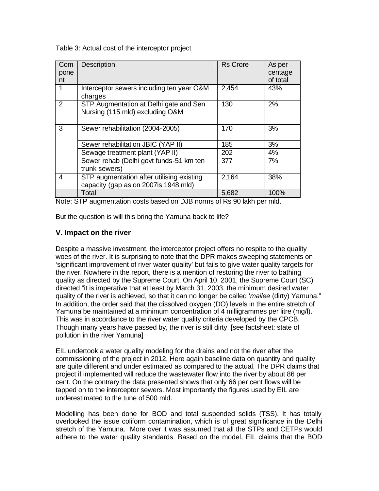Table 3: Actual cost of the interceptor project

| Com<br>pone<br>nt | <b>Description</b>                                                                | <b>Rs Crore</b> | As per<br>centage<br>of total |
|-------------------|-----------------------------------------------------------------------------------|-----------------|-------------------------------|
| 1                 | Interceptor sewers including ten year O&M<br>charges                              | 2,454           | 43%                           |
| 2                 | STP Augmentation at Delhi gate and Sen<br>Nursing (115 mld) excluding O&M         | 130             | 2%                            |
| 3                 | Sewer rehabilitation (2004-2005)                                                  | 170             | 3%                            |
|                   | Sewer rehabilitation JBIC (YAP II)                                                | 185             | 3%                            |
|                   | Sewage treatment plant (YAP II)                                                   | 202             | 4%                            |
|                   | Sewer rehab (Delhi govt funds-51 km ten<br>trunk sewers)                          | 377             | 7%                            |
| 4                 | STP augmentation after utilising existing<br>capacity (gap as on 2007is 1948 mld) | 2,164           | 38%                           |
|                   | Total                                                                             | 5,682           | 100%                          |

Note: STP augmentation costs based on DJB norms of Rs 90 lakh per mld.

But the question is will this bring the Yamuna back to life?

## **V. Impact on the river**

Despite a massive investment, the interceptor project offers no respite to the quality woes of the river. It is surprising to note that the DPR makes sweeping statements on 'significant improvement of river water quality' but fails to give water quality targets for the river. Nowhere in the report, there is a mention of restoring the river to bathing quality as directed by the Supreme Court. On April 10, 2001, the Supreme Court (SC) directed "it is imperative that at least by March 31, 2003, the minimum desired water quality of the river is achieved, so that it can no longer be called '*mailee* (dirty) Yamuna." In addition, the order said that the dissolved oxygen (DO) levels in the entire stretch of Yamuna be maintained at a minimum concentration of 4 milligrammes per litre (mg/l). This was in accordance to the river water quality criteria developed by the CPCB. Though many years have passed by, the river is still dirty. [see factsheet: state of pollution in the river Yamuna]

EIL undertook a water quality modeling for the drains and not the river after the commissioning of the project in 2012. Here again baseline data on quantity and quality are quite different and under estimated as compared to the actual. The DPR claims that project if implemented will reduce the wastewater flow into the river by about 86 per cent. On the contrary the data presented shows that only 66 per cent flows will be tapped on to the interceptor sewers. Most importantly the figures used by EIL are underestimated to the tune of 500 mld.

Modelling has been done for BOD and total suspended solids (TSS). It has totally overlooked the issue coliform contamination, which is of great significance in the Delhi stretch of the Yamuna. More over it was assumed that all the STPs and CETPs would adhere to the water quality standards. Based on the model, EIL claims that the BOD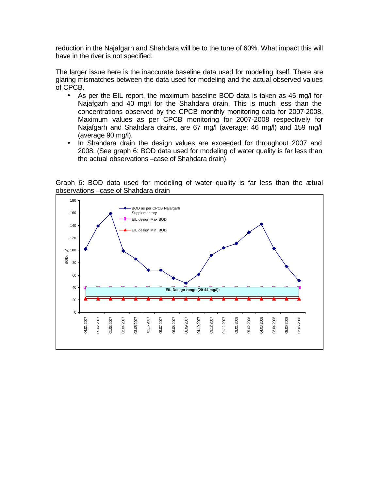reduction in the Najafgarh and Shahdara will be to the tune of 60%. What impact this will have in the river is not specified.

The larger issue here is the inaccurate baseline data used for modeling itself. There are glaring mismatches between the data used for modeling and the actual observed values of CPCB.

- As per the EIL report, the maximum baseline BOD data is taken as 45 mg/l for Najafgarh and 40 mg/l for the Shahdara drain. This is much less than the concentrations observed by the CPCB monthly monitoring data for 2007-2008. Maximum values as per CPCB monitoring for 2007-2008 respectively for Najafgarh and Shahdara drains, are 67 mg/l (average: 46 mg/l) and 159 mg/l (average 90 mg/l).
- In Shahdara drain the design values are exceeded for throughout 2007 and 2008. (See graph 6: BOD data used for modeling of water quality is far less than the actual observations –case of Shahdara drain)



Graph 6: BOD data used for modeling of water quality is far less than the actual observations –case of Shahdara drain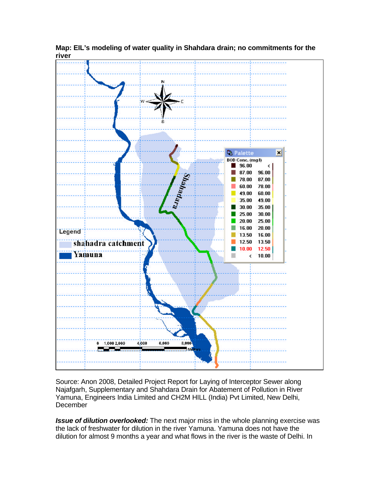

**Map: EIL's modeling of water quality in Shahdara drain; no commitments for the river**

Source: Anon 2008, Detailed Project Report for Laying of Interceptor Sewer along Najafgarh, Supplementary and Shahdara Drain for Abatement of Pollution in River Yamuna, Engineers India Limited and CH2M HILL (India) Pvt Limited, New Delhi, **December** 

*Issue of dilution overlooked:* The next major miss in the whole planning exercise was the lack of freshwater for dilution in the river Yamuna. Yamuna does not have the dilution for almost 9 months a year and what flows in the river is the waste of Delhi. In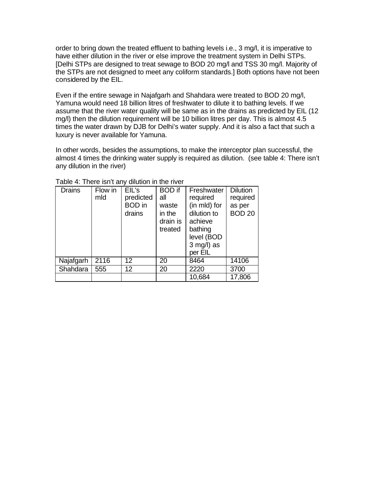order to bring down the treated effluent to bathing levels i.e., 3 mg/l, it is imperative to have either dilution in the river or else improve the treatment system in Delhi STPs. [Delhi STPs are designed to treat sewage to BOD 20 mg/l and TSS 30 mg/l. Majority of the STPs are not designed to meet any coliform standards.] Both options have not been considered by the EIL.

Even if the entire sewage in Najafgarh and Shahdara were treated to BOD 20 mg/l, Yamuna would need 18 billion litres of freshwater to dilute it to bathing levels. If we assume that the river water quality will be same as in the drains as predicted by EIL (12 mg/l) then the dilution requirement will be 10 billion litres per day. This is almost 4.5 times the water drawn by DJB for Delhi's water supply. And it is also a fact that such a luxury is never available for Yamuna.

In other words, besides the assumptions, to make the interceptor plan successful, the almost 4 times the drinking water supply is required as dilution. (see table 4: There isn't any dilution in the river)

| <b>Drains</b> | Flow in<br>mld | EIL's<br>predicted<br><b>BOD</b> in<br>drains | <b>BOD</b> if<br>all<br>waste<br>in the<br>drain is<br>treated | Freshwater<br>required<br>(in mld) for<br>dilution to<br>achieve<br>bathing<br>level (BOD<br>$3$ mg/l) as<br>per EIL | <b>Dilution</b><br>required<br>as per<br><b>BOD 20</b> |
|---------------|----------------|-----------------------------------------------|----------------------------------------------------------------|----------------------------------------------------------------------------------------------------------------------|--------------------------------------------------------|
| Najafgarh     | 2116           | 12 <sup>2</sup>                               | 20                                                             | 8464                                                                                                                 | 14106                                                  |
| Shahdara      | 555            | 12 <sup>°</sup>                               | 20                                                             | 2220                                                                                                                 | 3700                                                   |
|               |                |                                               |                                                                | 10,684                                                                                                               | 17,806                                                 |

Table 4: There isn't any dilution in the river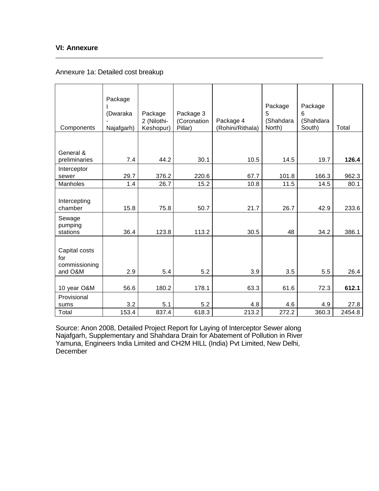## **VI: Annexure**

## Annexure 1a: Detailed cost breakup

| Components                                       | Package<br>(Dwaraka<br>Najafgarh) | Package<br>2 (Nilothi-<br>Keshopur) | Package 3<br>(Coronation<br>Pillar) | Package 4<br>(Rohini/Rithala) | Package<br>5<br>(Shahdara<br>North) | Package<br>6<br>(Shahdara<br>South) | Total  |
|--------------------------------------------------|-----------------------------------|-------------------------------------|-------------------------------------|-------------------------------|-------------------------------------|-------------------------------------|--------|
|                                                  |                                   |                                     |                                     |                               |                                     |                                     |        |
| General &<br>preliminaries                       | 7.4                               | 44.2                                | 30.1                                | 10.5                          | 14.5                                | 19.7                                | 126.4  |
| Interceptor<br>sewer                             | 29.7                              | 376.2                               | 220.6                               | 67.7                          | 101.8                               | 166.3                               | 962.3  |
| <b>Manholes</b>                                  | 1.4                               | 26.7                                | 15.2                                | 10.8                          | 11.5                                | 14.5                                | 80.1   |
| Intercepting<br>chamber                          | 15.8                              | 75.8                                | 50.7                                | 21.7                          | 26.7                                | 42.9                                | 233.6  |
| Sewage<br>pumping<br>stations                    | 36.4                              | 123.8                               | 113.2                               | 30.5                          | 48                                  | 34.2                                | 386.1  |
| Capital costs<br>for<br>commissioning<br>and O&M | 2.9                               | 5.4                                 | 5.2                                 | 3.9                           | 3.5                                 | 5.5                                 | 26.4   |
|                                                  |                                   |                                     |                                     |                               |                                     |                                     |        |
| 10 year O&M                                      | 56.6                              | 180.2                               | 178.1                               | 63.3                          | 61.6                                | 72.3                                | 612.1  |
| Provisional<br>sums                              | 3.2                               | 5.1                                 | 5.2                                 | 4.8                           | 4.6                                 | 4.9                                 | 27.8   |
| Total                                            | 153.4                             | 837.4                               | 618.3                               | 213.2                         | 272.2                               | 360.3                               | 2454.8 |

Source: Anon 2008, Detailed Project Report for Laying of Interceptor Sewer along Najafgarh, Supplementary and Shahdara Drain for Abatement of Pollution in River Yamuna, Engineers India Limited and CH2M HILL (India) Pvt Limited, New Delhi, December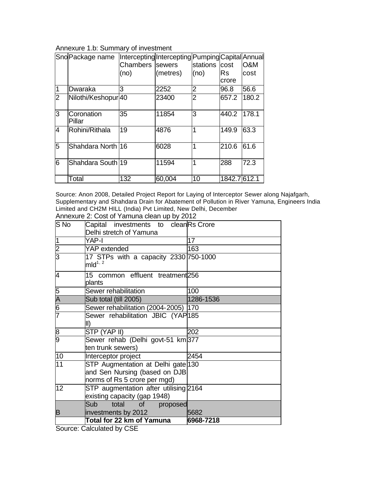## Annexure 1.b: Summary of investment

|                | Sno Package name            |                        | Intercepting Intercepting Pumping Capital Annual |          |              |                |
|----------------|-----------------------------|------------------------|--------------------------------------------------|----------|--------------|----------------|
|                |                             | Chambers <i>sewers</i> |                                                  | stations | <b>cost</b>  | <b>O&amp;M</b> |
|                |                             | (no)                   | (metres)                                         | (no)     | lRs.         | cost           |
|                |                             |                        |                                                  |          | crore        |                |
| 1              | Dwaraka                     | 3                      | 2252                                             | 2        | 96.8         | 56.6           |
| $\overline{2}$ | Nilothi/Keshopur 40         |                        | 23400                                            | 2        | 657.2        | 180.2          |
| 3              | <b>Coronation</b><br>Pillar | 35                     | 11854                                            | 3        | 440.2        | 178.1          |
| $\overline{4}$ | Rohini/Rithala              | 19                     | 4876                                             | 1        | 149.9        | 63.3           |
| 5              | Shahdara North 16           |                        | 6028                                             | 1        | 210.6        | 61.6           |
| 6              | Shahdara South 19           |                        | 11594                                            | 1        | 288          | 72.3           |
|                | Total                       | 132                    | 60,004                                           | 10       | 1842.7 612.1 |                |

Source: Anon 2008, Detailed Project Report for Laying of Interceptor Sewer along Najafgarh, Supplementary and Shahdara Drain for Abatement of Pollution in River Yamuna, Engineers India Limited and CH2M HILL (India) Pvt Limited, New Delhi, December Annexure 2: Cost of Yamuna clean up by 2012

| S <sub>No</sub>             | Capital investments to cleanRs Crore                  |           |
|-----------------------------|-------------------------------------------------------|-----------|
|                             | Delhi stretch of Yamuna                               |           |
| 1                           | YAP-I                                                 | 17        |
| $\frac{2}{3}$               | YAP extended                                          | 163       |
|                             | 17 STPs with a capacity 2330 750-1000<br>$mld^{1, 2}$ |           |
| 4                           | 15 common effluent treatment 256<br>plants            |           |
|                             | Sewer rehabilitation                                  | 100       |
| $\frac{5}{A}$ $\frac{6}{7}$ | Sub total (till 2005)                                 | 1286-1536 |
|                             | Sewer rehabilitation (2004-2005)  170                 |           |
|                             | Sewer rehabilitation JBIC (YAP185                     |           |
|                             | II)                                                   |           |
| $\frac{8}{9}$               | STP (YAP II)                                          | 202       |
|                             | Sewer rehab (Delhi govt-51 km 377                     |           |
|                             | ten trunk sewers)                                     |           |
| 10                          | Interceptor project                                   | 2454      |
| $\overline{11}$             | STP Augmentation at Delhi gate 130                    |           |
|                             | and Sen Nursing (based on DJB                         |           |
|                             | norms of Rs 5 crore per mgd)                          |           |
| 12                          | STP augmentation after utilising 2164                 |           |
|                             | existing capacity (gap 1948)                          |           |
|                             | Sub<br>total of<br>proposed                           |           |
| B                           | investments by 2012                                   | 5682      |
|                             | Total for 22 km of Yamuna                             | 6968-7218 |

Source: Calculated by CSE